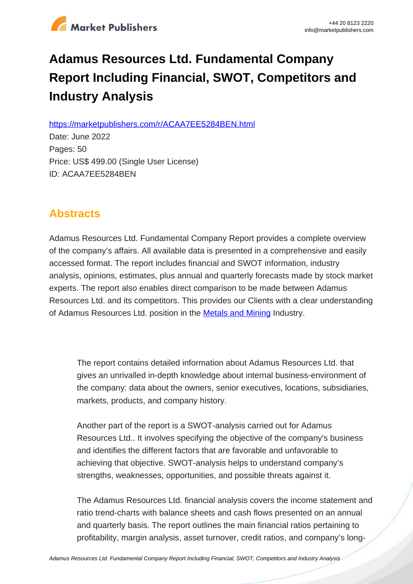

# **Adamus Resources Ltd. Fundamental Company Report Including Financial, SWOT, Competitors and Industry Analysis**

https://marketpublishers.com/r/ACAA7EE5284BEN.html

Date: June 2022 Pages: 50 Price: US\$ 499.00 (Single User License) ID: ACAA7EE5284BEN

# **Abstracts**

Adamus Resources Ltd. Fundamental Company Report provides a complete overview of the company's affairs. All available data is presented in a comprehensive and easily accessed format. The report includes financial and SWOT information, industry analysis, opinions, estimates, plus annual and quarterly forecasts made by stock market experts. The report also enables direct comparison to be made between Adamus Resources Ltd. and its competitors. This provides our Clients with a clear understanding of Adamus Resources Ltd. position in the **[Metals and Mining](/report/australia_metals_mining_analysis_bac.html) Industry.** 

The report contains detailed information about Adamus Resources Ltd. that gives an unrivalled in-depth knowledge about internal business-environment of the company: data about the owners, senior executives, locations, subsidiaries, markets, products, and company history.

Another part of the report is a SWOT-analysis carried out for Adamus Resources Ltd.. It involves specifying the objective of the company's business and identifies the different factors that are favorable and unfavorable to achieving that objective. SWOT-analysis helps to understand company's strengths, weaknesses, opportunities, and possible threats against it.

The Adamus Resources Ltd. financial analysis covers the income statement and ratio trend-charts with balance sheets and cash flows presented on an annual and quarterly basis. The report outlines the main financial ratios pertaining to profitability, margin analysis, asset turnover, credit ratios, and company's long-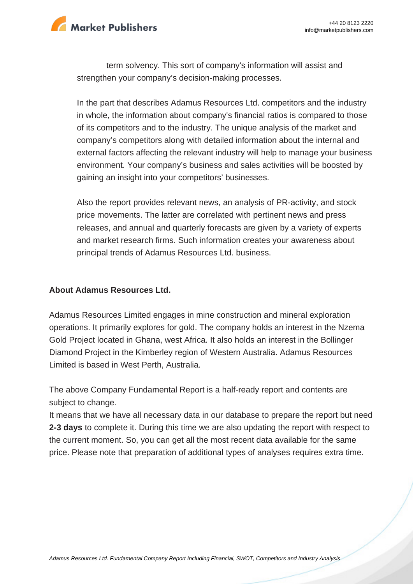

term solvency. This sort of company's information will assist and strengthen your company's decision-making processes.

In the part that describes Adamus Resources Ltd. competitors and the industry in whole, the information about company's financial ratios is compared to those of its competitors and to the industry. The unique analysis of the market and company's competitors along with detailed information about the internal and external factors affecting the relevant industry will help to manage your business environment. Your company's business and sales activities will be boosted by gaining an insight into your competitors' businesses.

Also the report provides relevant news, an analysis of PR-activity, and stock price movements. The latter are correlated with pertinent news and press releases, and annual and quarterly forecasts are given by a variety of experts and market research firms. Such information creates your awareness about principal trends of Adamus Resources Ltd. business.

#### **About Adamus Resources Ltd.**

Adamus Resources Limited engages in mine construction and mineral exploration operations. It primarily explores for gold. The company holds an interest in the Nzema Gold Project located in Ghana, west Africa. It also holds an interest in the Bollinger Diamond Project in the Kimberley region of Western Australia. Adamus Resources Limited is based in West Perth, Australia.

The above Company Fundamental Report is a half-ready report and contents are subject to change.

It means that we have all necessary data in our database to prepare the report but need **2-3 days** to complete it. During this time we are also updating the report with respect to the current moment. So, you can get all the most recent data available for the same price. Please note that preparation of additional types of analyses requires extra time.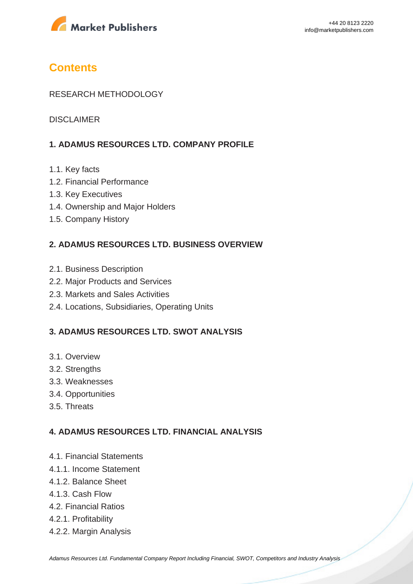

# **Contents**

### RESEARCH METHODOLOGY

DISCI AIMER

# **1. ADAMUS RESOURCES LTD. COMPANY PROFILE**

- 1.1. Key facts
- 1.2. Financial Performance
- 1.3. Key Executives
- 1.4. Ownership and Major Holders
- 1.5. Company History

#### **2. ADAMUS RESOURCES LTD. BUSINESS OVERVIEW**

- 2.1. Business Description
- 2.2. Major Products and Services
- 2.3. Markets and Sales Activities
- 2.4. Locations, Subsidiaries, Operating Units

### **3. ADAMUS RESOURCES LTD. SWOT ANALYSIS**

- 3.1. Overview
- 3.2. Strengths
- 3.3. Weaknesses
- 3.4. Opportunities
- 3.5. Threats

#### **4. ADAMUS RESOURCES LTD. FINANCIAL ANALYSIS**

- 4.1. Financial Statements
- 4.1.1. Income Statement
- 4.1.2. Balance Sheet
- 4.1.3. Cash Flow
- 4.2. Financial Ratios
- 4.2.1. Profitability
- 4.2.2. Margin Analysis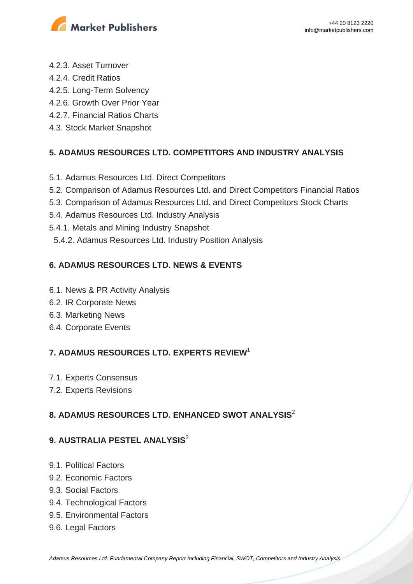

- 4.2.3. Asset Turnover
- 4.2.4. Credit Ratios
- 4.2.5. Long-Term Solvency
- 4.2.6. Growth Over Prior Year
- 4.2.7. Financial Ratios Charts
- 4.3. Stock Market Snapshot

# **5. ADAMUS RESOURCES LTD. COMPETITORS AND INDUSTRY ANALYSIS**

- 5.1. Adamus Resources Ltd. Direct Competitors
- 5.2. Comparison of Adamus Resources Ltd. and Direct Competitors Financial Ratios
- 5.3. Comparison of Adamus Resources Ltd. and Direct Competitors Stock Charts
- 5.4. Adamus Resources Ltd. Industry Analysis
- 5.4.1. Metals and Mining Industry Snapshot
- 5.4.2. Adamus Resources Ltd. Industry Position Analysis

# **6. ADAMUS RESOURCES LTD. NEWS & EVENTS**

- 6.1. News & PR Activity Analysis
- 6.2. IR Corporate News
- 6.3. Marketing News
- 6.4. Corporate Events

# **7. ADAMUS RESOURCES LTD. EXPERTS REVIEW**<sup>1</sup>

- 7.1. Experts Consensus
- 7.2. Experts Revisions

# **8. ADAMUS RESOURCES LTD. ENHANCED SWOT ANALYSIS**<sup>2</sup>

# **9. AUSTRALIA PESTEL ANALYSIS**<sup>2</sup>

- 9.1. Political Factors
- 9.2. Economic Factors
- 9.3. Social Factors
- 9.4. Technological Factors
- 9.5. Environmental Factors
- 9.6. Legal Factors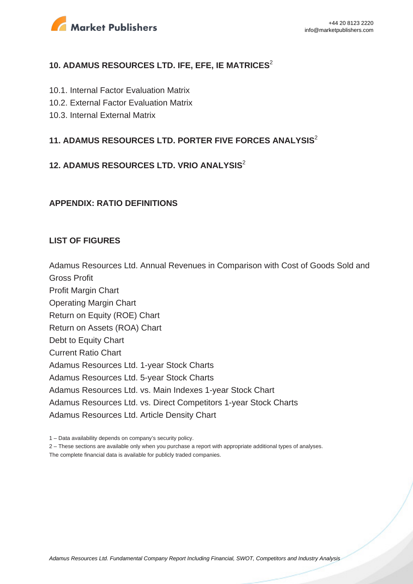

# **10. ADAMUS RESOURCES LTD. IFE, EFE, IE MATRICES**<sup>2</sup>

- 10.1. Internal Factor Evaluation Matrix
- 10.2. External Factor Evaluation Matrix
- 10.3. Internal External Matrix

# **11. ADAMUS RESOURCES LTD. PORTER FIVE FORCES ANALYSIS**<sup>2</sup>

# **12. ADAMUS RESOURCES LTD. VRIO ANALYSIS**<sup>2</sup>

#### **APPENDIX: RATIO DEFINITIONS**

#### **LIST OF FIGURES**

Adamus Resources Ltd. Annual Revenues in Comparison with Cost of Goods Sold and Gross Profit

Profit Margin Chart Operating Margin Chart Return on Equity (ROE) Chart Return on Assets (ROA) Chart Debt to Equity Chart Current Ratio Chart Adamus Resources Ltd. 1-year Stock Charts Adamus Resources Ltd. 5-year Stock Charts Adamus Resources Ltd. vs. Main Indexes 1-year Stock Chart Adamus Resources Ltd. vs. Direct Competitors 1-year Stock Charts Adamus Resources Ltd. Article Density Chart

1 – Data availability depends on company's security policy.

2 – These sections are available only when you purchase a report with appropriate additional types of analyses.

The complete financial data is available for publicly traded companies.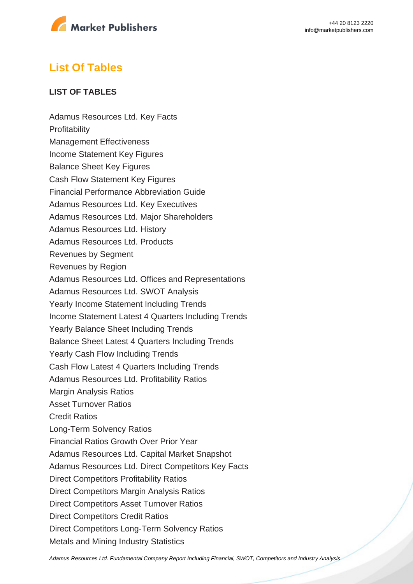

# **List Of Tables**

# **LIST OF TABLES**

Adamus Resources Ltd. Key Facts **Profitability** Management Effectiveness Income Statement Key Figures Balance Sheet Key Figures Cash Flow Statement Key Figures Financial Performance Abbreviation Guide Adamus Resources Ltd. Key Executives Adamus Resources Ltd. Major Shareholders Adamus Resources Ltd. History Adamus Resources Ltd. Products Revenues by Segment Revenues by Region Adamus Resources Ltd. Offices and Representations Adamus Resources Ltd. SWOT Analysis Yearly Income Statement Including Trends Income Statement Latest 4 Quarters Including Trends Yearly Balance Sheet Including Trends Balance Sheet Latest 4 Quarters Including Trends Yearly Cash Flow Including Trends Cash Flow Latest 4 Quarters Including Trends Adamus Resources Ltd. Profitability Ratios Margin Analysis Ratios Asset Turnover Ratios Credit Ratios Long-Term Solvency Ratios Financial Ratios Growth Over Prior Year Adamus Resources Ltd. Capital Market Snapshot Adamus Resources Ltd. Direct Competitors Key Facts Direct Competitors Profitability Ratios Direct Competitors Margin Analysis Ratios Direct Competitors Asset Turnover Ratios Direct Competitors Credit Ratios Direct Competitors Long-Term Solvency Ratios Metals and Mining Industry Statistics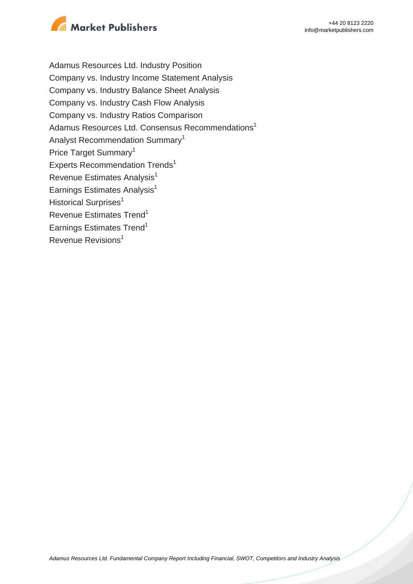

Adamus Resources Ltd. Industry Position Company vs. Industry Income Statement Analysis Company vs. Industry Balance Sheet Analysis Company vs. Industry Cash Flow Analysis Company vs. Industry Ratios Comparison Adamus Resources Ltd. Consensus Recommendations<sup>1</sup> Analyst Recommendation Summary<sup>1</sup> Price Target Summary<sup>1</sup> Experts Recommendation Trends<sup>1</sup> Revenue Estimates Analysis<sup>1</sup> Earnings Estimates Analysis $<sup>1</sup>$ </sup> Historical Surprises<sup>1</sup> Revenue Estimates Trend<sup>1</sup> Earnings Estimates Trend<sup>1</sup> Revenue Revisions<sup>1</sup>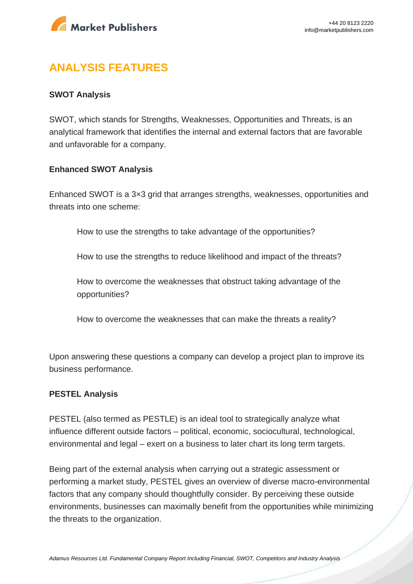

# **ANALYSIS FEATURES**

### **SWOT Analysis**

SWOT, which stands for Strengths, Weaknesses, Opportunities and Threats, is an analytical framework that identifies the internal and external factors that are favorable and unfavorable for a company.

#### **Enhanced SWOT Analysis**

Enhanced SWOT is a 3×3 grid that arranges strengths, weaknesses, opportunities and threats into one scheme:

How to use the strengths to take advantage of the opportunities?

How to use the strengths to reduce likelihood and impact of the threats?

How to overcome the weaknesses that obstruct taking advantage of the opportunities?

How to overcome the weaknesses that can make the threats a reality?

Upon answering these questions a company can develop a project plan to improve its business performance.

#### **PESTEL Analysis**

PESTEL (also termed as PESTLE) is an ideal tool to strategically analyze what influence different outside factors – political, economic, sociocultural, technological, environmental and legal – exert on a business to later chart its long term targets.

Being part of the external analysis when carrying out a strategic assessment or performing a market study, PESTEL gives an overview of diverse macro-environmental factors that any company should thoughtfully consider. By perceiving these outside environments, businesses can maximally benefit from the opportunities while minimizing the threats to the organization.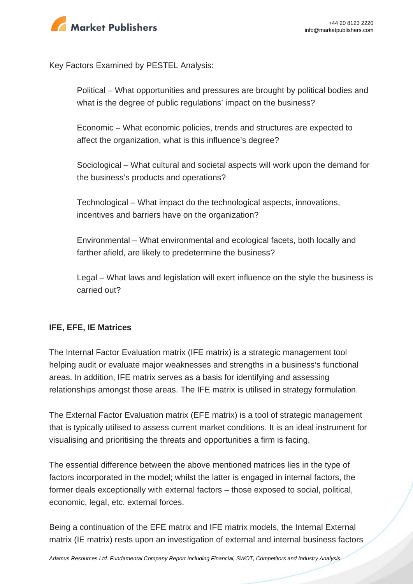

Key Factors Examined by PESTEL Analysis:

Political – What opportunities and pressures are brought by political bodies and what is the degree of public regulations' impact on the business?

Economic – What economic policies, trends and structures are expected to affect the organization, what is this influence's degree?

Sociological – What cultural and societal aspects will work upon the demand for the business's products and operations?

Technological – What impact do the technological aspects, innovations, incentives and barriers have on the organization?

Environmental – What environmental and ecological facets, both locally and farther afield, are likely to predetermine the business?

Legal – What laws and legislation will exert influence on the style the business is carried out?

# **IFE, EFE, IE Matrices**

The Internal Factor Evaluation matrix (IFE matrix) is a strategic management tool helping audit or evaluate major weaknesses and strengths in a business's functional areas. In addition, IFE matrix serves as a basis for identifying and assessing relationships amongst those areas. The IFE matrix is utilised in strategy formulation.

The External Factor Evaluation matrix (EFE matrix) is a tool of strategic management that is typically utilised to assess current market conditions. It is an ideal instrument for visualising and prioritising the threats and opportunities a firm is facing.

The essential difference between the above mentioned matrices lies in the type of factors incorporated in the model; whilst the latter is engaged in internal factors, the former deals exceptionally with external factors – those exposed to social, political, economic, legal, etc. external forces.

Being a continuation of the EFE matrix and IFE matrix models, the Internal External matrix (IE matrix) rests upon an investigation of external and internal business factors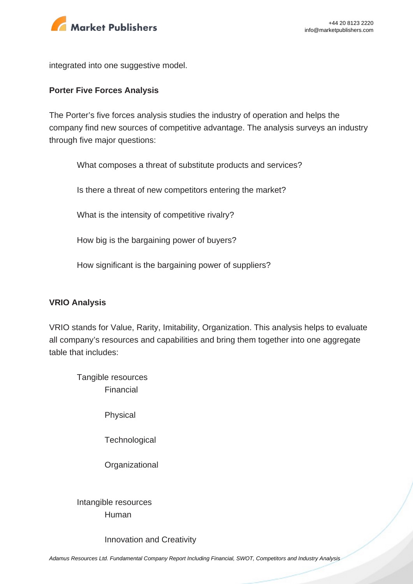

integrated into one suggestive model.

#### **Porter Five Forces Analysis**

The Porter's five forces analysis studies the industry of operation and helps the company find new sources of competitive advantage. The analysis surveys an industry through five major questions:

What composes a threat of substitute products and services?

Is there a threat of new competitors entering the market?

What is the intensity of competitive rivalry?

How big is the bargaining power of buyers?

How significant is the bargaining power of suppliers?

#### **VRIO Analysis**

VRIO stands for Value, Rarity, Imitability, Organization. This analysis helps to evaluate all company's resources and capabilities and bring them together into one aggregate table that includes:

Tangible resources Financial

Physical

**Technological** 

**Organizational** 

Intangible resources Human

Innovation and Creativity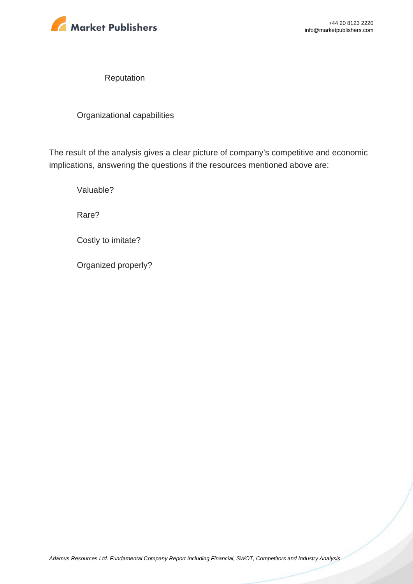

Reputation

Organizational capabilities

The result of the analysis gives a clear picture of company's competitive and economic implications, answering the questions if the resources mentioned above are:

Valuable?

Rare?

Costly to imitate?

Organized properly?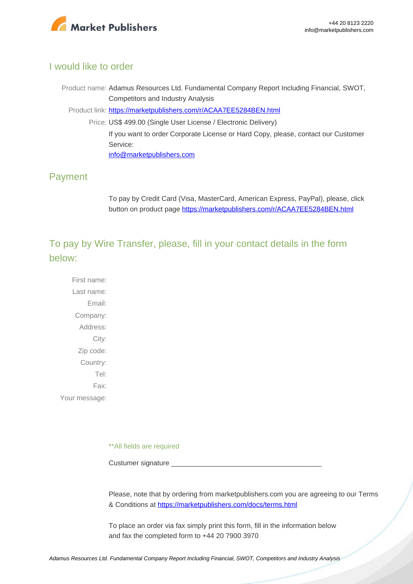

# I would like to order

Product name: Adamus Resources Ltd. Fundamental Company Report Including Financial, SWOT, Competitors and Industry Analysis Product link: [https://marketpublishers.com/r/ACAA7EE5284BEN.html](https://marketpublishers.com/report/industry/metallurgy/adamus_resources_ltd_swot_analysis_bac.html) Price: US\$ 499.00 (Single User License / Electronic Delivery)

> If you want to order Corporate License or Hard Copy, please, contact our Customer Service:

[info@marketpublishers.com](mailto:info@marketpublishers.com)

# Payment

To pay by Credit Card (Visa, MasterCard, American Express, PayPal), please, click button on product page [https://marketpublishers.com/r/ACAA7EE5284BEN.html](https://marketpublishers.com/report/industry/metallurgy/adamus_resources_ltd_swot_analysis_bac.html)

To pay by Wire Transfer, please, fill in your contact details in the form below:

First name: Last name: Email: Company: Address: City: Zip code: Country: Tel: Fax: Your message:

\*\*All fields are required

Custumer signature

Please, note that by ordering from marketpublishers.com you are agreeing to our Terms & Conditions at<https://marketpublishers.com/docs/terms.html>

To place an order via fax simply print this form, fill in the information below and fax the completed form to +44 20 7900 3970